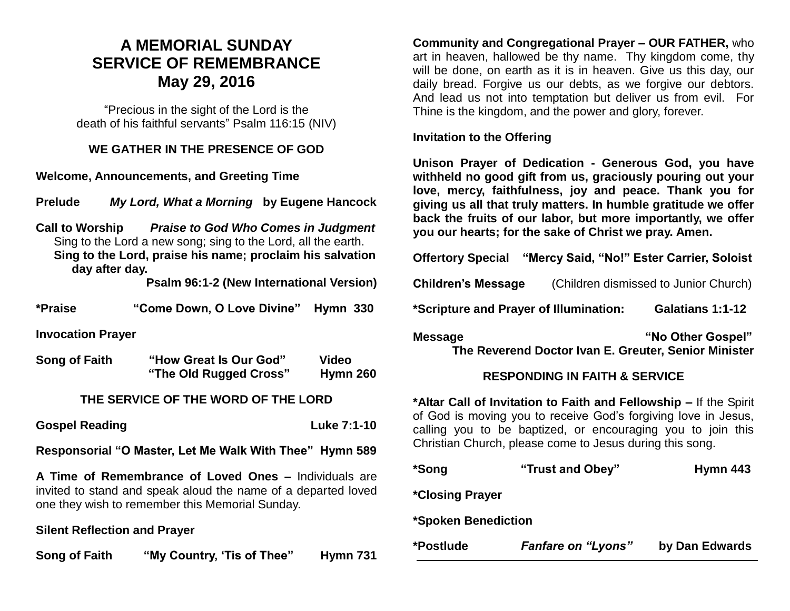### **A MEMORIAL SUNDAY SERVICE OF REMEMBRANCE May 29, 2016**

"Precious in the sight of the Lord is the death of his faithful servants" Psalm 116:15 (NIV)

#### **WE GATHER IN THE PRESENCE OF GOD**

**Welcome, Announcements, and Greeting Time** 

**Prelude** *My Lord, What a Morning* **by Eugene Hancock** 

**Call to Worship** *Praise to God Who Comes in Judgment* Sing to the Lord a new song; sing to the Lord, all the earth. **Sing to the Lord, praise his name; proclaim his salvation day after day.**

**Psalm 96:1-2 (New International Version)**

| *Praise                  | "Come Down, O Love Divine" Hymn 330 |  |
|--------------------------|-------------------------------------|--|
| <b>Invocation Prayer</b> |                                     |  |

| Song of Faith | "How Great Is Our God" | <b>Video</b>    |
|---------------|------------------------|-----------------|
|               | "The Old Rugged Cross" | <b>Hymn 260</b> |

#### **THE SERVICE OF THE WORD OF THE LORD**

**Gospel Reading Community Community Community Community Community Community Community Community Community Community Community Community Community Community Community Community Community Community Community Community Commun** 

**Responsorial "O Master, Let Me Walk With Thee" Hymn 589**

**A Time of Remembrance of Loved Ones –** Individuals are invited to stand and speak aloud the name of a departed loved one they wish to remember this Memorial Sunday.

#### **Silent Reflection and Prayer**

**Song of Faith "My Country, 'Tis of Thee" Hymn 731**

**Community and Congregational Prayer – OUR FATHER,** who art in heaven, hallowed be thy name. Thy kingdom come, thy will be done, on earth as it is in heaven. Give us this day, our daily bread. Forgive us our debts, as we forgive our debtors. And lead us not into temptation but deliver us from evil. For Thine is the kingdom, and the power and glory, forever.

#### **Invitation to the Offering**

**Unison Prayer of Dedication - Generous God, you have withheld no good gift from us, graciously pouring out your love, mercy, faithfulness, joy and peace. Thank you for giving us all that truly matters. In humble gratitude we offer back the fruits of our labor, but more importantly, we offer you our hearts; for the sake of Christ we pray. Amen.**

**Offertory Special "Mercy Said, "No!" Ester Carrier, Soloist**

**Children's Message** (Children dismissed to Junior Church)

**\*Scripture and Prayer of Illumination: Galatians 1:1-12**

**Message The Contract Message 19th Contract Area and Message "No Other Gospel" The Reverend Doctor Ivan E. Greuter, Senior Minister**

#### **RESPONDING IN FAITH & SERVICE**

**\*Altar Call of Invitation to Faith and Fellowship –** If the Spirit of God is moving you to receive God's forgiving love in Jesus, calling you to be baptized, or encouraging you to join this Christian Church, please come to Jesus during this song.

| *Song                      | "Trust and Obey"          | Hymn 443       |  |  |
|----------------------------|---------------------------|----------------|--|--|
| <i>*Closing Prayer</i>     |                           |                |  |  |
| <b>*Spoken Benediction</b> |                           |                |  |  |
| *Postlude                  | <b>Fanfare on "Lyons"</b> | by Dan Edwards |  |  |